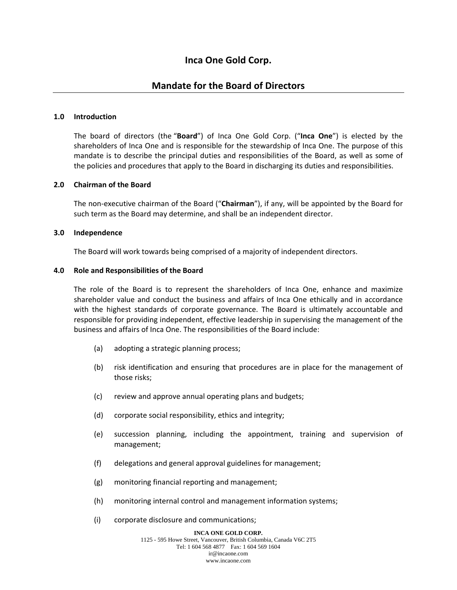# **Inca One Gold Corp.**

## **Mandate for the Board of Directors**

## **1.0 Introduction**

The board of directors (the "**Board**") of Inca One Gold Corp. ("**Inca One**") is elected by the shareholders of Inca One and is responsible for the stewardship of Inca One. The purpose of this mandate is to describe the principal duties and responsibilities of the Board, as well as some of the policies and procedures that apply to the Board in discharging its duties and responsibilities.

#### **2.0 Chairman of the Board**

The non‐executive chairman of the Board ("**Chairman**"), if any, will be appointed by the Board for such term as the Board may determine, and shall be an independent director.

#### **3.0 Independence**

The Board will work towards being comprised of a majority of independent directors.

#### **4.0 Role and Responsibilities of the Board**

The role of the Board is to represent the shareholders of Inca One, enhance and maximize shareholder value and conduct the business and affairs of Inca One ethically and in accordance with the highest standards of corporate governance. The Board is ultimately accountable and responsible for providing independent, effective leadership in supervising the management of the business and affairs of Inca One. The responsibilities of the Board include:

- (a) adopting a strategic planning process;
- (b) risk identification and ensuring that procedures are in place for the management of those risks;
- (c) review and approve annual operating plans and budgets;
- (d) corporate social responsibility, ethics and integrity;
- (e) succession planning, including the appointment, training and supervision of management;
- (f) delegations and general approval guidelines for management;
- (g) monitoring financial reporting and management;
- (h) monitoring internal control and management information systems;
- (i) corporate disclosure and communications;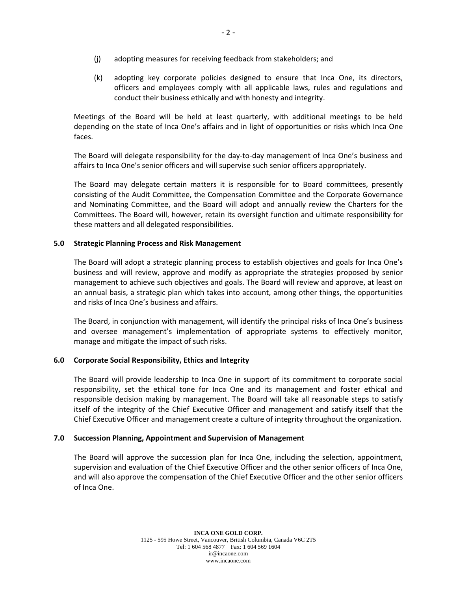- (j) adopting measures for receiving feedback from stakeholders; and
- (k) adopting key corporate policies designed to ensure that Inca One, its directors, officers and employees comply with all applicable laws, rules and regulations and conduct their business ethically and with honesty and integrity.

Meetings of the Board will be held at least quarterly, with additional meetings to be held depending on the state of Inca One's affairs and in light of opportunities or risks which Inca One faces.

The Board will delegate responsibility for the day-to-day management of Inca One's business and affairs to Inca One's senior officers and will supervise such senior officers appropriately.

The Board may delegate certain matters it is responsible for to Board committees, presently consisting of the Audit Committee, the Compensation Committee and the Corporate Governance and Nominating Committee, and the Board will adopt and annually review the Charters for the Committees. The Board will, however, retain its oversight function and ultimate responsibility for these matters and all delegated responsibilities.

## **5.0 Strategic Planning Process and Risk Management**

The Board will adopt a strategic planning process to establish objectives and goals for Inca One's business and will review, approve and modify as appropriate the strategies proposed by senior management to achieve such objectives and goals. The Board will review and approve, at least on an annual basis, a strategic plan which takes into account, among other things, the opportunities and risks of Inca One's business and affairs.

The Board, in conjunction with management, will identify the principal risks of Inca One's business and oversee management's implementation of appropriate systems to effectively monitor, manage and mitigate the impact of such risks.

## **6.0 Corporate Social Responsibility, Ethics and Integrity**

The Board will provide leadership to Inca One in support of its commitment to corporate social responsibility, set the ethical tone for Inca One and its management and foster ethical and responsible decision making by management. The Board will take all reasonable steps to satisfy itself of the integrity of the Chief Executive Officer and management and satisfy itself that the Chief Executive Officer and management create a culture of integrity throughout the organization.

## **7.0 Succession Planning, Appointment and Supervision of Management**

The Board will approve the succession plan for Inca One, including the selection, appointment, supervision and evaluation of the Chief Executive Officer and the other senior officers of Inca One, and will also approve the compensation of the Chief Executive Officer and the other senior officers of Inca One.